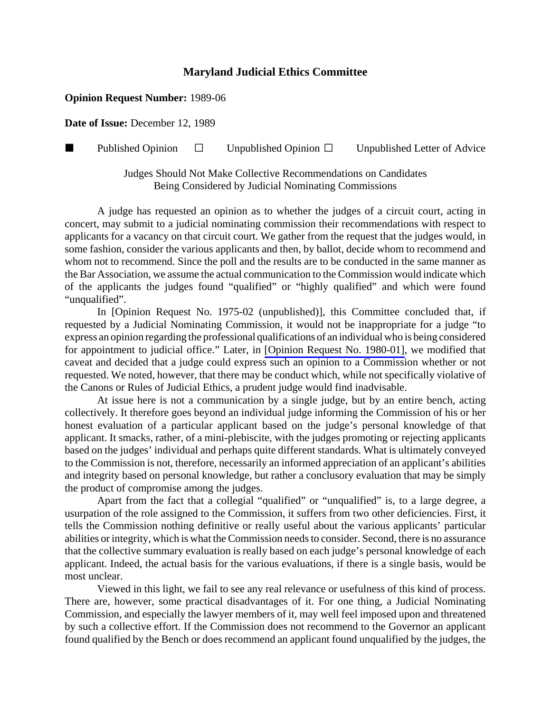## **Maryland Judicial Ethics Committee**

## **Opinion Request Number:** 1989-06

**Date of Issue:** December 12, 1989

**Published Opinion**  $\Box$  Unpublished Opinion  $\Box$  Unpublished Letter of Advice

Judges Should Not Make Collective Recommendations on Candidates Being Considered by Judicial Nominating Commissions

A judge has requested an opinion as to whether the judges of a circuit court, acting in concert, may submit to a judicial nominating commission their recommendations with respect to applicants for a vacancy on that circuit court. We gather from the request that the judges would, in some fashion, consider the various applicants and then, by ballot, decide whom to recommend and whom not to recommend. Since the poll and the results are to be conducted in the same manner as the Bar Association, we assume the actual communication to the Commission would indicate which of the applicants the judges found "qualified" or "highly qualified" and which were found "unqualified".

In [Opinion Request No. 1975-02 (unpublished)], this Committee concluded that, if requested by a Judicial Nominating Commission, it would not be inappropriate for a judge "to express an opinion regarding the professional qualifications of an individual who is being considered for appointment to judicial office." Later, in [\[Opinion Request No. 1980-01\],](http://www.mdcourts.gov/ethics/pdfs/1980-01.pdf) we modified that caveat and decided that a judge could express such an opinion to a Commission whether or not requested. We noted, however, that there may be conduct which, while not specifically violative of the Canons or Rules of Judicial Ethics, a prudent judge would find inadvisable.

At issue here is not a communication by a single judge, but by an entire bench, acting collectively. It therefore goes beyond an individual judge informing the Commission of his or her honest evaluation of a particular applicant based on the judge's personal knowledge of that applicant. It smacks, rather, of a mini-plebiscite, with the judges promoting or rejecting applicants based on the judges' individual and perhaps quite different standards. What is ultimately conveyed to the Commission is not, therefore, necessarily an informed appreciation of an applicant's abilities and integrity based on personal knowledge, but rather a conclusory evaluation that may be simply the product of compromise among the judges.

Apart from the fact that a collegial "qualified" or "unqualified" is, to a large degree, a usurpation of the role assigned to the Commission, it suffers from two other deficiencies. First, it tells the Commission nothing definitive or really useful about the various applicants' particular abilities or integrity, which is what the Commission needs to consider. Second, there is no assurance that the collective summary evaluation is really based on each judge's personal knowledge of each applicant. Indeed, the actual basis for the various evaluations, if there is a single basis, would be most unclear.

Viewed in this light, we fail to see any real relevance or usefulness of this kind of process. There are, however, some practical disadvantages of it. For one thing, a Judicial Nominating Commission, and especially the lawyer members of it, may well feel imposed upon and threatened by such a collective effort. If the Commission does not recommend to the Governor an applicant found qualified by the Bench or does recommend an applicant found unqualified by the judges, the